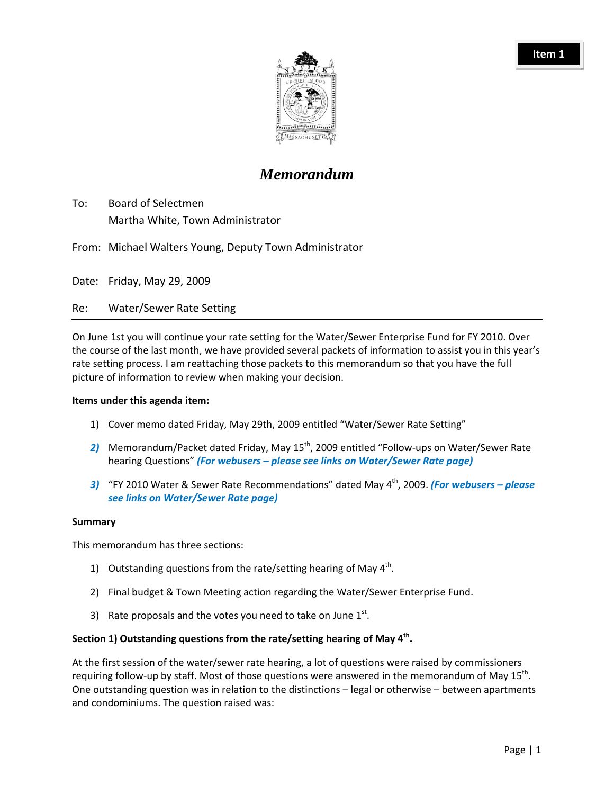

# *Memorandum*

- To: Board of Selectmen Martha White, Town Administrator
- From: Michael Walters Young, Deputy Town Administrator

Date: Friday, May 29, 2009

Re: Water/Sewer Rate Setting

On June 1st you will continue your rate setting for the Water/Sewer Enterprise Fund for FY 2010. Over the course of the last month, we have provided several packets of information to assist you in this year's rate setting process. I am reattaching those packets to this memorandum so that you have the full picture of information to review when making your decision.

#### **Items under this agenda item:**

- 1) Cover memo dated Friday, May 29th, 2009 entitled "Water/Sewer Rate Setting"
- 2) Memorandum/Packet dated Friday, May 15<sup>th</sup>, 2009 entitled "Follow-ups on Water/Sewer Rate hearing Questions" *(For webusers – please see links on Water/Sewer Rate page)*
- *3)* "FY 2010 Water & Sewer Rate Recommendations" dated May 4th, 2009. *(For webusers – please see links on Water/Sewer Rate page)*

#### **Summary**

This memorandum has three sections:

- 1) Outstanding questions from the rate/setting hearing of May  $4<sup>th</sup>$ .
- 2) Final budget & Town Meeting action regarding the Water/Sewer Enterprise Fund.
- 3) Rate proposals and the votes you need to take on June  $1^{st}$ .

## **Section 1) Outstanding questions from the rate/setting hearing of May 4th.**

At the first session of the water/sewer rate hearing, a lot of questions were raised by commissioners requiring follow-up by staff. Most of those questions were answered in the memorandum of May 15<sup>th</sup>. One outstanding question was in relation to the distinctions – legal or otherwise – between apartments and condominiums. The question raised was: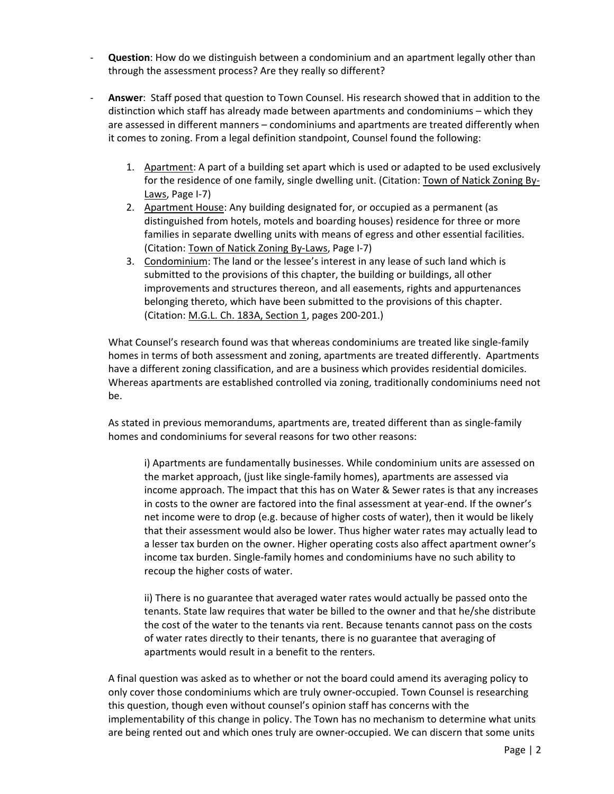- ‐ **Question**: How do we distinguish between a condominium and an apartment legally other than through the assessment process? Are they really so different?
- ‐ **Answer**: Staff posed that question to Town Counsel. His research showed that in addition to the distinction which staff has already made between apartments and condominiums – which they are assessed in different manners – condominiums and apartments are treated differently when it comes to zoning. From a legal definition standpoint, Counsel found the following:
	- 1. Apartment: A part of a building set apart which is used or adapted to be used exclusively for the residence of one family, single dwelling unit. (Citation: Town of Natick Zoning By-Laws, Page I-7)
	- 2. Apartment House: Any building designated for, or occupied as a permanent (as distinguished from hotels, motels and boarding houses) residence for three or more families in separate dwelling units with means of egress and other essential facilities. (Citation: Town of Natick Zoning By‐Laws, Page I‐7)
	- 3. Condominium: The land or the lessee's interest in any lease of such land which is submitted to the provisions of this chapter, the building or buildings, all other improvements and structures thereon, and all easements, rights and appurtenances belonging thereto, which have been submitted to the provisions of this chapter. (Citation: M.G.L. Ch. 183A, Section 1, pages 200‐201.)

What Counsel's research found was that whereas condominiums are treated like single‐family homes in terms of both assessment and zoning, apartments are treated differently. Apartments have a different zoning classification, and are a business which provides residential domiciles. Whereas apartments are established controlled via zoning, traditionally condominiums need not be.

As stated in previous memorandums, apartments are, treated different than as single‐family homes and condominiums for several reasons for two other reasons:

i) Apartments are fundamentally businesses. While condominium units are assessed on the market approach, (just like single‐family homes), apartments are assessed via income approach. The impact that this has on Water & Sewer rates is that any increases in costs to the owner are factored into the final assessment at year-end. If the owner's net income were to drop (e.g. because of higher costs of water), then it would be likely that their assessment would also be lower. Thus higher water rates may actually lead to a lesser tax burden on the owner. Higher operating costs also affect apartment owner's income tax burden. Single‐family homes and condominiums have no such ability to recoup the higher costs of water.

ii) There is no guarantee that averaged water rates would actually be passed onto the tenants. State law requires that water be billed to the owner and that he/she distribute the cost of the water to the tenants via rent. Because tenants cannot pass on the costs of water rates directly to their tenants, there is no guarantee that averaging of apartments would result in a benefit to the renters.

A final question was asked as to whether or not the board could amend its averaging policy to only cover those condominiums which are truly owner‐occupied. Town Counsel is researching this question, though even without counsel's opinion staff has concerns with the implementability of this change in policy. The Town has no mechanism to determine what units are being rented out and which ones truly are owner‐occupied. We can discern that some units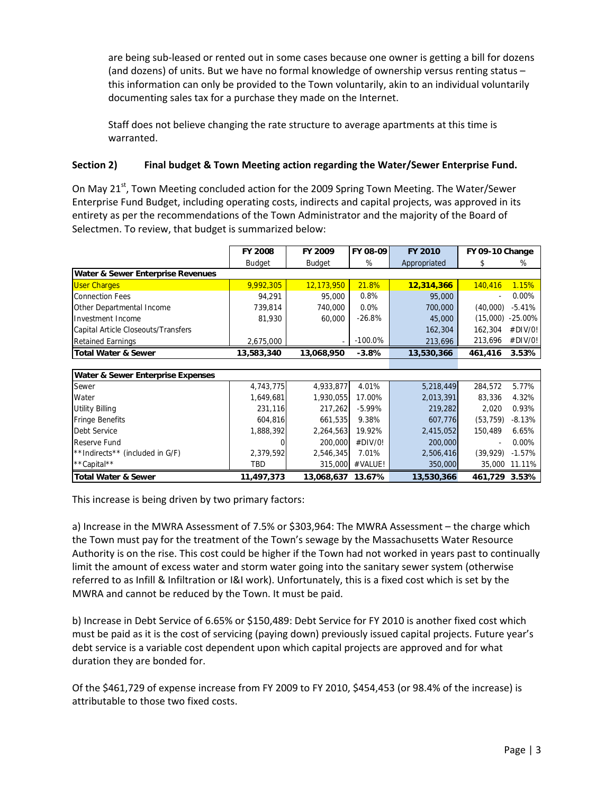are being sub-leased or rented out in some cases because one owner is getting a bill for dozens (and dozens) of units. But we have no formal knowledge of ownership versus renting status – this information can only be provided to the Town voluntarily, akin to an individual voluntarily documenting sales tax for a purchase they made on the Internet.

Staff does not believe changing the rate structure to average apartments at this time is warranted.

# **Section 2) Final budget & Town Meeting action regarding the Water/Sewer Enterprise Fund.**

On May 21<sup>st</sup>, Town Meeting concluded action for the 2009 Spring Town Meeting. The Water/Sewer Enterprise Fund Budget, including operating costs, indirects and capital projects, was approved in its entirety as per the recommendations of the Town Administrator and the majority of the Board of Selectmen. To review, that budget is summarized below:

|                                     | <b>FY 2008</b> | <b>FY 2009</b>    | FY 08-09   | <b>FY 2010</b> | FY 09-10 Change |            |  |  |
|-------------------------------------|----------------|-------------------|------------|----------------|-----------------|------------|--|--|
|                                     | <b>Budget</b>  | <b>Budget</b>     | %          | Appropriated   | \$              | %          |  |  |
| Water & Sewer Enterprise Revenues   |                |                   |            |                |                 |            |  |  |
| <b>User Charges</b>                 | 9,992,305      | 12,173,950        | 21.8%      | 12,314,366     | 140,416         | 1.15%      |  |  |
| <b>Connection Fees</b>              | 94,291         | 95,000            | 0.8%       | 95,000         |                 | 0.00%      |  |  |
| Other Departmental Income           | 739,814        | 740,000           | 0.0%       | 700,000        | (40,000)        | $-5.41%$   |  |  |
| Investment Income                   | 81,930         | 60,000            | $-26.8%$   | 45,000         | (15,000)        | $-25.00\%$ |  |  |
| Capital Article Closeouts/Transfers |                |                   |            | 162,304        | 162,304         | #DIV/0!    |  |  |
| <b>Retained Earnings</b>            | 2,675,000      |                   | $-100.0\%$ | 213,696        | 213,696         | #DIV/0!    |  |  |
| <b>Total Water &amp; Sewer</b>      | 13,583,340     | 13,068,950        | $-3.8%$    | 13,530,366     | 461,416         | 3.53%      |  |  |
|                                     |                |                   |            |                |                 |            |  |  |
| Water & Sewer Enterprise Expenses   |                |                   |            |                |                 |            |  |  |
| Sewer                               | 4,743,775      | 4,933,877         | 4.01%      | 5,218,449      | 284,572         | 5.77%      |  |  |
| Water                               | 1,649,681      | 1,930,055         | 17.00%     | 2,013,391      | 83,336          | 4.32%      |  |  |
| <b>Utility Billing</b>              | 231,116        | 217,262           | $-5.99\%$  | 219,282        | 2,020           | 0.93%      |  |  |
| <b>Fringe Benefits</b>              | 604,816        | 661,535           | 9.38%      | 607,776        | (53, 759)       | $-8.13%$   |  |  |
| Debt Service                        | 1,888,392      | 2,264,563         | 19.92%     | 2,415,052      | 150,489         | 6.65%      |  |  |
| Reserve Fund                        |                | 200,000           | #DIV/0!    | 200,000        |                 | 0.00%      |  |  |
| **Indirects** (included in G/F)     | 2,379,592      | 2,546,345         | 7.01%      | 2,506,416      | (39, 929)       | $-1.57%$   |  |  |
| **Capital**                         | TBD            | 315,000           | #VALUE!    | 350,000        | 35,000          | 11.11%     |  |  |
| <b>Total Water &amp; Sewer</b>      | 11,497,373     | 13,068,637 13.67% |            | 13,530,366     | 461,729 3.53%   |            |  |  |

This increase is being driven by two primary factors:

a) Increase in the MWRA Assessment of 7.5% or \$303,964: The MWRA Assessment – the charge which the Town must pay for the treatment of the Town's sewage by the Massachusetts Water Resource Authority is on the rise. This cost could be higher if the Town had not worked in years past to continually limit the amount of excess water and storm water going into the sanitary sewer system (otherwise referred to as Infill & Infiltration or I&I work). Unfortunately, this is a fixed cost which is set by the MWRA and cannot be reduced by the Town. It must be paid.

b) Increase in Debt Service of 6.65% or \$150,489: Debt Service for FY 2010 is another fixed cost which must be paid as it is the cost of servicing (paying down) previously issued capital projects. Future year's debt service is a variable cost dependent upon which capital projects are approved and for what duration they are bonded for.

Of the \$461,729 of expense increase from FY 2009 to FY 2010, \$454,453 (or 98.4% of the increase) is attributable to those two fixed costs.